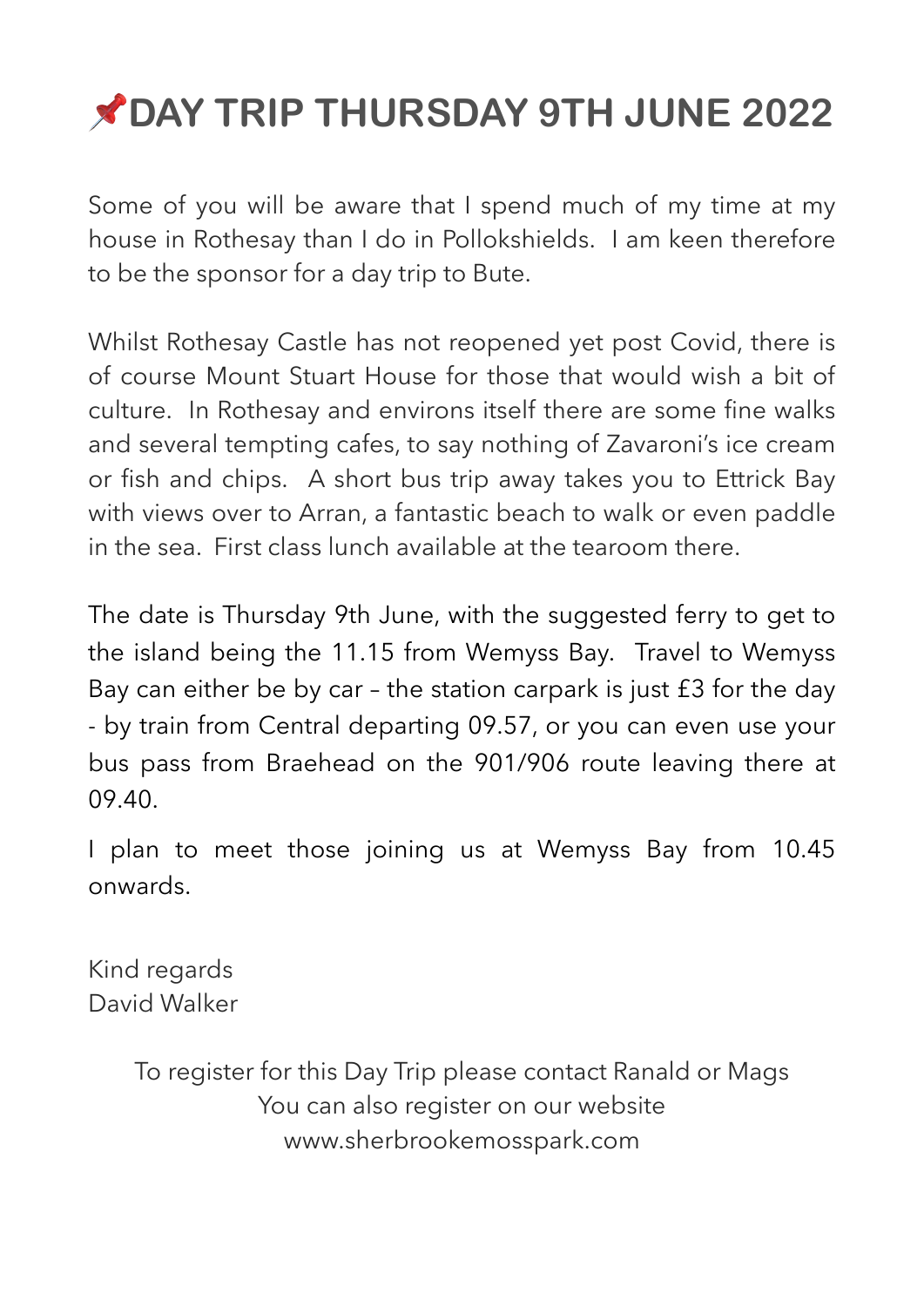# **DAY TRIP THURSDAY 9TH JUNE 2022**

Some of you will be aware that I spend much of my time at my house in Rothesay than I do in Pollokshields. I am keen therefore to be the sponsor for a day trip to Bute.

Whilst Rothesay Castle has not reopened yet post Covid, there is of course Mount Stuart House for those that would wish a bit of culture. In Rothesay and environs itself there are some fine walks and several tempting cafes, to say nothing of Zavaroni's ice cream or fish and chips. A short bus trip away takes you to Ettrick Bay with views over to Arran, a fantastic beach to walk or even paddle in the sea. First class lunch available at the tearoom there.

The date is Thursday 9th June, with the suggested ferry to get to the island being the 11.15 from Wemyss Bay. Travel to Wemyss Bay can either be by car – the station carpark is just £3 for the day - by train from Central departing 09.57, or you can even use your bus pass from Braehead on the 901/906 route leaving there at 09.40.

I plan to meet those joining us at Wemyss Bay from 10.45 onwards.

Kind regards David Walker

> To register for this Day Trip please contact Ranald or Mags You can also register on our website www.sherbrookemosspark.com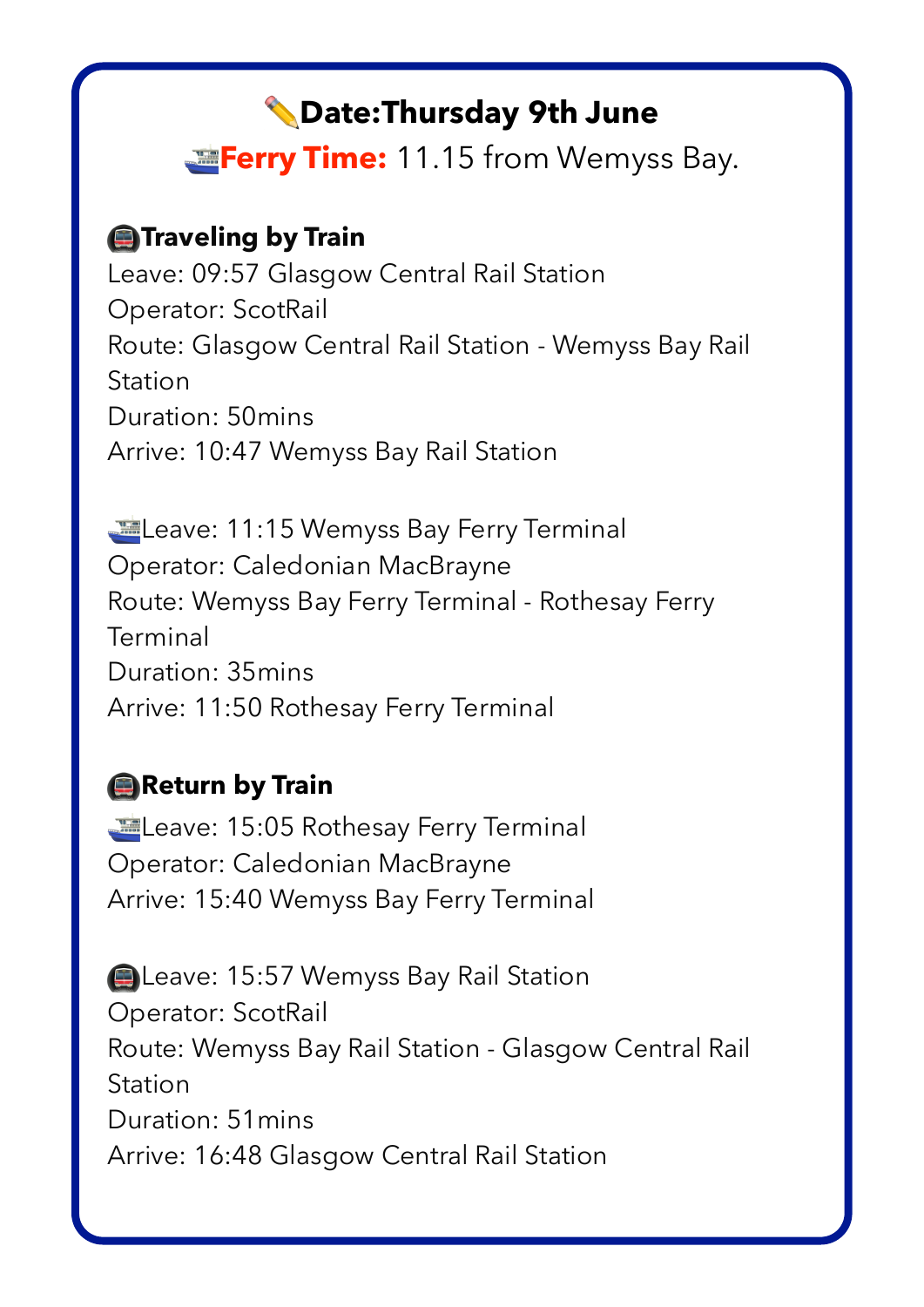# ✏**Date:Thursday 9th June**

**Example:** 11.15 from Wemyss Bay.

### **A**Traveling by Train

Leave: 09:57 Glasgow Central Rail Station Operator: ScotRail Route: Glasgow Central Rail Station - Wemyss Bay Rail Station Duration: 50mins Arrive: 10:47 Wemyss Bay Rail Station

Leave: 11:15 Wemyss Bay Ferry Terminal Operator: Caledonian MacBrayne Route: Wemyss Bay Ferry Terminal - Rothesay Ferry **Terminal** Duration: 35mins Arrive: 11:50 Rothesay Ferry Terminal

## **Return by Train**

Leave: 15:05 Rothesay Ferry Terminal Operator: Caledonian MacBrayne Arrive: 15:40 Wemyss Bay Ferry Terminal

**E** Leave: 15:57 Wemyss Bay Rail Station Operator: ScotRail Route: Wemyss Bay Rail Station - Glasgow Central Rail Station Duration: 51mins Arrive: 16:48 Glasgow Central Rail Station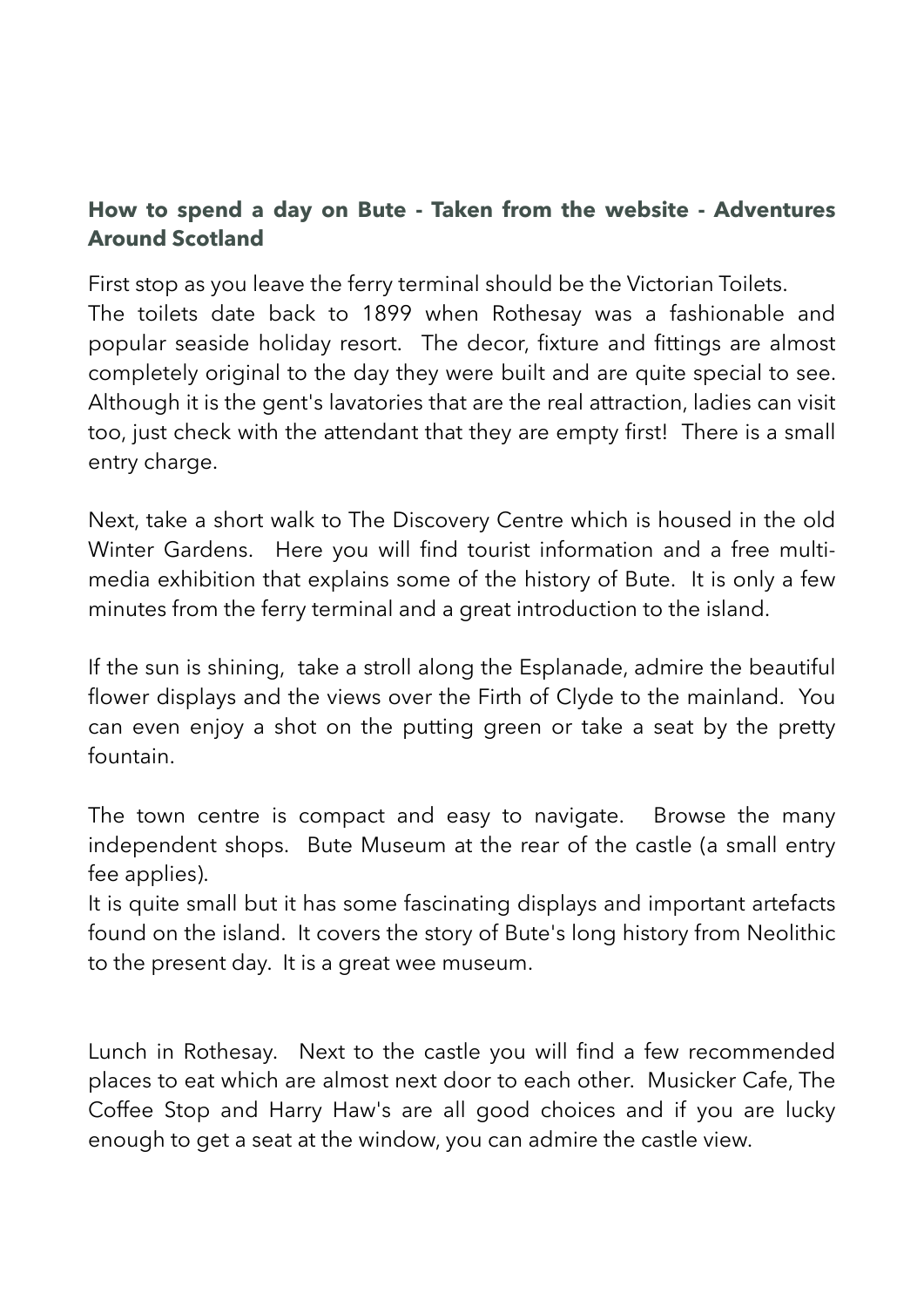#### **How to spend a day on Bute - Taken from the website - Adventures Around Scotland**

First stop as you leave the ferry terminal should be the Victorian Toilets. The toilets date back to 1899 when Rothesay was a fashionable and popular seaside holiday resort. The decor, fixture and fittings are almost completely original to the day they were built and are quite special to see. Although it is the gent's lavatories that are the real attraction, ladies can visit too, just check with the attendant that they are empty first! There is a small entry charge.

Next, take a short walk to The Discovery Centre which is housed in the old Winter Gardens. Here you will find tourist information and a free multimedia exhibition that explains some of the history of Bute. It is only a few minutes from the ferry terminal and a great introduction to the island.

If the sun is shining, take a stroll along the Esplanade, admire the beautiful flower displays and the views over the [Firth of Clyde](https://www.adventuresaroundscotland.com/firth-of-clyde.html) to the mainland. You can even enjoy a shot on the putting green or take a seat by the pretty fountain.

The town centre is compact and easy to navigate. Browse the many independent shops. [Bute Museum](https://www.butemuseum.org.uk/) at the rear of the castle (a small entry fee applies).

It is quite small but it has some fascinating displays and important artefacts found on the island. It covers the story of Bute's long history from Neolithic to the present day. It is a great wee museum.

Lunch in Rothesay. Next to the castle you will find a few recommended places to eat which are almost next door to each other. Musicker Cafe, The Coffee Stop and Harry Haw's are all good choices and if you are lucky enough to get a seat at the window, you can admire the castle view.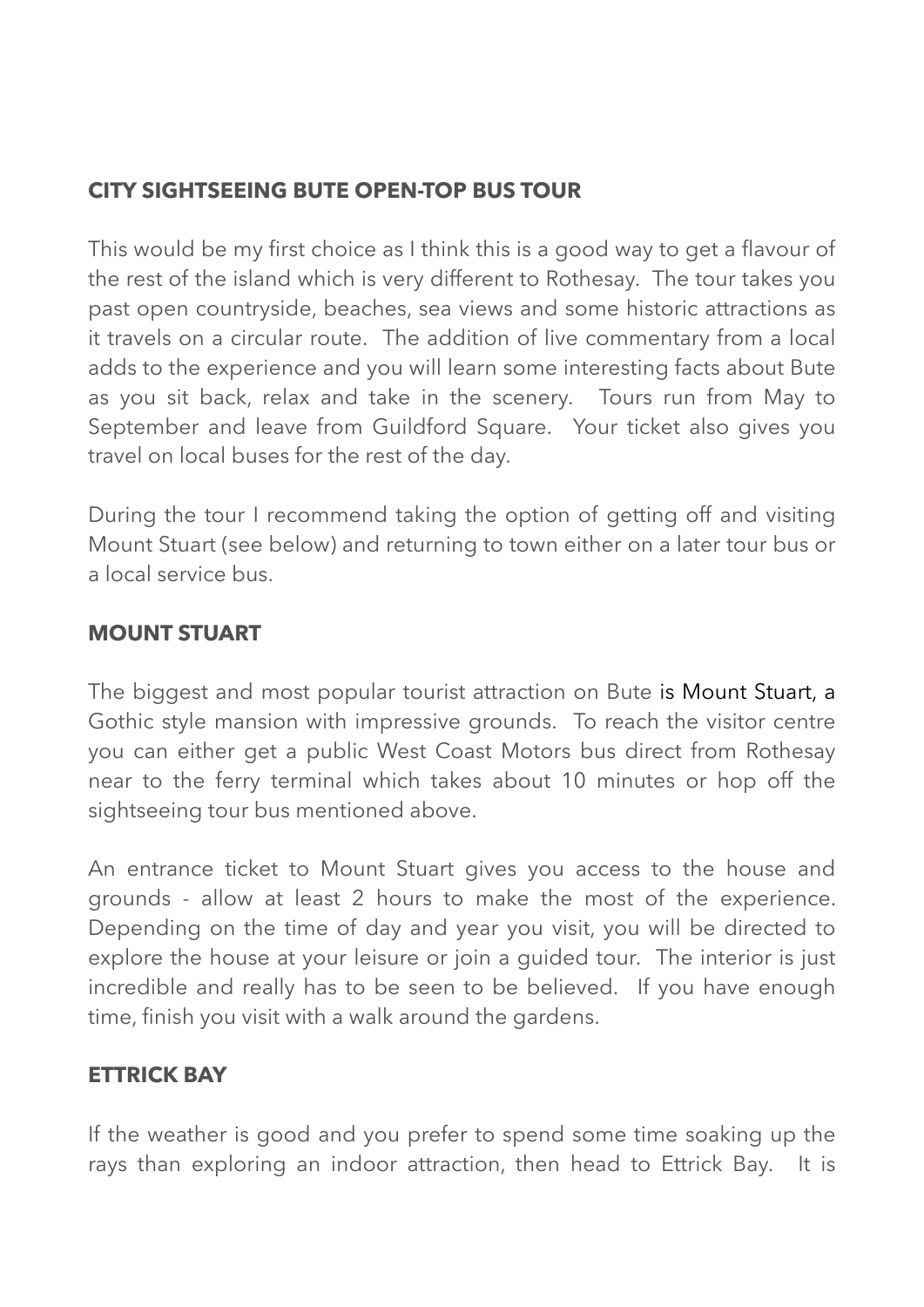#### **CITY SIGHTSEEING BUTE OPEN-TOP BUS TOUR**

This would be my first choice as I think this is a good way to get a flavour of the rest of the island which is very different to Rothesay. The tour takes you past open countryside, beaches, sea views and some historic attractions as it travels on a circular route. The addition of live commentary from a local adds to the experience and you will learn some interesting facts about Bute as you sit back, relax and take in the scenery. Tours run from May to September and leave from Guildford Square. Your ticket also gives you travel on local buses for the rest of the day.

During the tour I recommend taking the option of getting off and visiting Mount Stuart (see below) and returning to town either on a later tour bus or a local service bus.

#### **MOUNT STUART**

The biggest and most popular tourist attraction on Bute is [Mount Stuart](http://www.mountstuart.com/), a Gothic style mansion with impressive grounds. To reach the visitor centre you can either get a public West Coast Motors bus direct from Rothesay near to the ferry terminal which takes about 10 minutes or hop off the sightseeing tour bus mentioned above.

An entrance ticket to Mount Stuart gives you access to the house and grounds - allow at least 2 hours to make the most of the experience. Depending on the time of day and year you visit, you will be directed to explore the house at your leisure or join a guided tour. The interior is just incredible and really has to be seen to be believed. If you have enough time, finish you visit with a walk around the gardens.

#### **ETTRICK BAY**

If the weather is good and you prefer to spend some time soaking up the rays than exploring an indoor attraction, then head to Ettrick Bay. It is